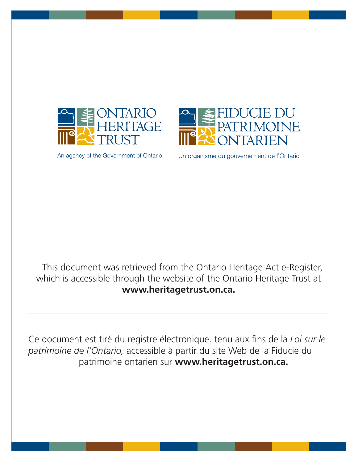

An agency of the Government of Ontario



Un organisme du gouvernement de l'Ontario

This document was retrieved from the Ontario Heritage Act e-Register, which is accessible through the website of the Ontario Heritage Trust at **www.heritagetrust.on.ca.**

Ce document est tiré du registre électronique. tenu aux fins de la *Loi sur le patrimoine de l'Ontario,* accessible à partir du site Web de la Fiducie du patrimoine ontarien sur **www.heritagetrust.on.ca.**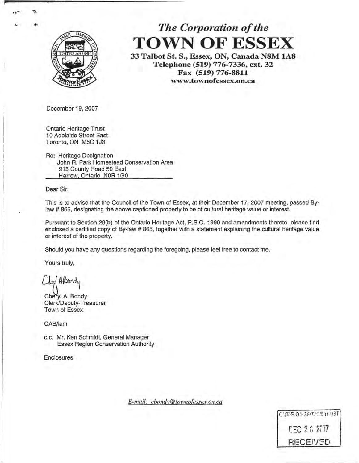

# *The Corporation of the*  **TOWN OF ESSEX**

**33 Talbot St. S., Essex, ON, Canada N8M 1A8 Telephone (519) 776-7336, ext. 32 Fax (519) 776-8811 www.townofessex.on.ca** 

December 19, 2007

Ontario Heritage Trust **1** O Adelaide Street East Toronto, ON MSC 1J3

Re: Heritage Designation John R. Park Homestead Conservation Area 915 County Road 50 East Harrow, Ontario NOR 1GO

Dear Sir:

This is to advise that the Council of the Town of Essex, at their December 17, 2007 meeting, passed Bylaw # 865, designating the above captioned property to be of cultural heritage value or interest.

Pursuant to Section 29(b) of the Ontario Heritage Act, R.S.O. 1990 and amendments thereto please find enclosed a certified copy of By-law # 865, together with a statement explaining the cultural heritage value or interest of the property.

Should you have any questions regarding the foregoing, please feel free to contact me.

Yours truly,

~~ Cheryl A. Bondy

Clerk/Deputy-Treasurer Town of Essex

CAB/lam

c.c. Mr. Ken Schmidt, General Manager Essex Region Conservation Authority

**Enclosures** 

*E-mail: cbondy@townofessex.on.ca* 

CMPROWERT/CENNUST **CEC 20 207** RECEIVED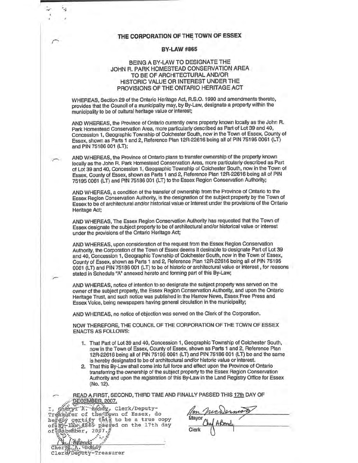# **THE CORPORATION OF THE TOWN OF ESSEX**

*r* 

'n,

## **BY-LAW#865**

# BEING A BY-LAW TO DESIGNATE THE JOHN R. PARK HOMESTEAD CONSERVATION AREA TO BE OF ARCHITECTURAL AND/OR HISTORIC VALUE OR INTEREST UNDER THE PROVISIONS OF THE ONTARIO HERITAGE ACT

WHEREAS, Section 29 of the Ontario Heritage Act, R.S.O. 1990 and amendments thereto, provides that the Council of a municipality may, by By-Law, designate a property within the municipality to be of cultural heritage value or interest;

AND WHEREAS, the Province of Ontario currently owns property known locally as the John R. Park Homestead Conservation Area, more particularly described as Part of Lot 39 and 40, Concession 1, Geographic Township of Colchester South, now in the Town of Essex, County of Essex, shown as Parts 1 and 2, Reference Plan 12R-22616 being all of PIN 75195 0061 (LT) and PIN 75186 001 (LT);

AND WHEREAS, the Province of Ontario plans to transfer ownership of the property known locally as the John R. Park Homestead Conservation Area, more particularly described as Part of Lot 39 and 40, Concession 1, Geographic Township of Colchester South, now in the Town of Essex, County of Essex, shown as Parts 1 and 2, Reference Plan 12R-22616 being all of PIN 75195 0061 (LT) and PIN 75186 001 (LT) to the Essex Region Conservation Authority;

AND WHEREAS, a condition of the transfer of ownership from the Province of Ontario to the Essex Region Conservation Authority, is the designation of the subject property by the Town of Essex to be of architectural and/or historical value or interest under the provisions of the Ontario Heritage Act;

AND WHEREAS, The Essex Region Conservation Authority has requested that the Town of Essex designate the subject property to be of architectural and/or historical value or interest under the provisions of the Ontario Heritage Act;

AND WHEREAS, upon consideration of the request from the Essex Region Conservation Authority, the Corporation of the Town of Essex deems it desirable to designate Part of Lot 39 and 40, Concession **1,** Geographic Township of Colchester South, now in the Town of Essex, County of Essex, shown as Parts 1 and 2, Reference Plan 12R-22616 being all of PIN 75195 0061 (LT) and PIN 75186 001 (LT) to be of historic or architectural value or interest , for reasons stated in Schedule "A" annexed hereto and forming part of this By-Law;

AND WHEREAS, notice of intention to so designate the subject property was served on the owner of the subject property, the Essex Region Conservation Authority, and upon the Ontario Heritage Trust, and such notice was published in'the Harrow News, Essex Free Press and Essex Voice, being newspapers having general circulation in the municipality;

AND WHEREAS, no notice of objection was served on the Clerk of the Corporation.

NOW THEREFORE, THE COUNCIL OF THE CORPORATION OF THE TOWN OF ESSEX ENACTS AS FOLLOWS:

- 1. That Part of Lot 39 and 40, Concession 1, Geographic Township of Colchester South, now in the Town of Essex, County of Essex, shown as Parts 1 and 2, Reference Plan 12R-22616 being all of PIN 75195 0061 (LT) and PIN 75186 001 (LT) be and the same is hereby designated to be of architectural and/or historic value or interest.
- 2. That this By-Law shall come into full force and effect upon the Province of Ontario transferring the ownership of the subject property to the Essex Region Conservation Authority and upon the registration of this By-Law in the Land Registry Office for Essex (No. 12).

READ A FIRST, SECOND, THIRD TIME AND FINALLY PASSED THIS 17th DAY OF

DECEMBER 2007.<br>Shery: A. Bendy, Clerk/Deputy-I, chery X: Bondy, Clerk/Deputy-<br>Treasurer of the Town of Essex, do *(on Juckless*<br>hereby certify this to be a true copy Mayor<sub>/Hul</sub> 40md  $\frac{1}{2}$   $\frac{1}{2}$   $\frac{1}{2}$   $\frac{1}{2}$   $\frac{1}{2}$   $\frac{1}{2}$   $\frac{1}{2}$   $\frac{1}{2}$   $\frac{1}{2}$   $\frac{1}{2}$   $\frac{1}{2}$   $\frac{1}{2}$   $\frac{1}{2}$   $\frac{1}{2}$   $\frac{1}{2}$   $\frac{1}{2}$   $\frac{1}{2}$   $\frac{1}{2}$   $\frac{1}{2}$   $\frac{1}{2}$   $\frac{1}{2}$   $\frac{1}{2}$  of *EDecember, 2007* ... Clerk **P.L.** / Assembly

Pon mer of the Essex Region Conservation<br>at the Land Registry Office for Essex<br>ASSED THIS 17th DAY OF  $\mathcal{W}$ ernion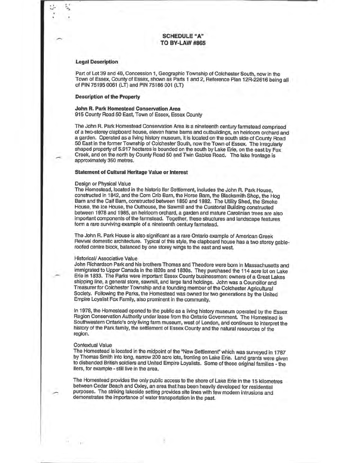#### **Legal Description**

Part of Lot 39 and 40, Concession 1, Geographic Township of Colchester South, now in the Town of Essex, County of Essex, shown as Parts 1 and 2, Reference Plan 12R-22616 being all of PIN 75195 0061 (LT) and PIN 75186 001 (LT)

#### **Description of the Property**

### **John R. Park Homestead Conservation Area**  915 County Road 50 East, Town of Essex, Essex County

The John R. Park Homestead Conservation Area is a nineteenth century farmstead comprised of a two-storey clapboard house, eleven frame barns and outbuildings, an heirloom orchard and a garden. Operated as a living history museum, it is located on the south side of County Road 50 East in the former Township of Colchester South, now the Town of Essex. The irregularly shaped property of 5.917 hectares is bounded on the south by Lake Erie, on the east by Fox Creek, and on the north by County Road 50 and Twin Gables Road. The lake frontage is approximately 350 metres.

### **Statement of Cultural Heritage Value or Interest**

#### Design or Physical Value

The Homestead, located in the historic lier Settlement, includes the John R. **Park** House, constructed in 1842, and the Corn Crib Barn, the Horse Barn, the Blacksmith Shop, the Hog Barn and the Calf Barn, constructed between 1850 and 1882. The Utility Shed, the Smoke House, the lee House, the Outhouse, the Sawmill and the Curatorial Building constructed between 1978 and 1985, an heirloom orchard, a garden and mature Carolinian trees are also important components of the farmstead. Together, these structures and landscape features form a rare surviving example of a nineteenth century farmstead.

The John R. Park House is also significant as a rare Ontario example of American Greek Revival domestic architecture. Typical of this style, the clapboard house has a two storey gableroofed centre block, balanced by one storey wings to the east and west.

#### Historical/ Associative Value

John Richardson Park and his brothers Thomas and Theodore were born in Massachusetts and immigrated to Upper Canada in the 1820s and 1830s. They purchased the 114 acre lot on Lake Erie in 1833. The Parks were important Essex County businessmen: owners of a Great Lakes shipping line, a general store, sawmill, and large land holdings. John was a Councillor and Treasurer for Colchester Township and a founding member of the Colchester Agricultural Society. Following the Parks, the Homestead was owned for two generations by the United Empire Loyalist Fox Family, also prominent in the community.

ln 1978, the Homestead opened to the public as a living history museum operated by the Essex Region Conservation Authority under lease from the Ontario Government. The Homestead is Southwestern Ontario's only living farm museum, west of London, and continues to interpret the history of the Park family, the settlement of Essex County and the natural resources of the region.

#### Contextual Value

The Homestead is located in the midpoint of the "New Settlement'' which was surveyed in 1787 by Thomas Smith into long, narrow 200 acre lots, fronting on Lake Erie. Land grants were given to disbanded British soldiers and United Empire Loyalists. Some of those original families - the llers, for example - still live in the area.

The Homestead provides the only public access to the shore of Lake Erie in the 15 kilometres between Cedar Beach and Oxley, an area that has been heavily developed for residential purposes. The striking lakeside setting provides site lines with few modern intrusions and demonstrates the importance of water transportation in the past.